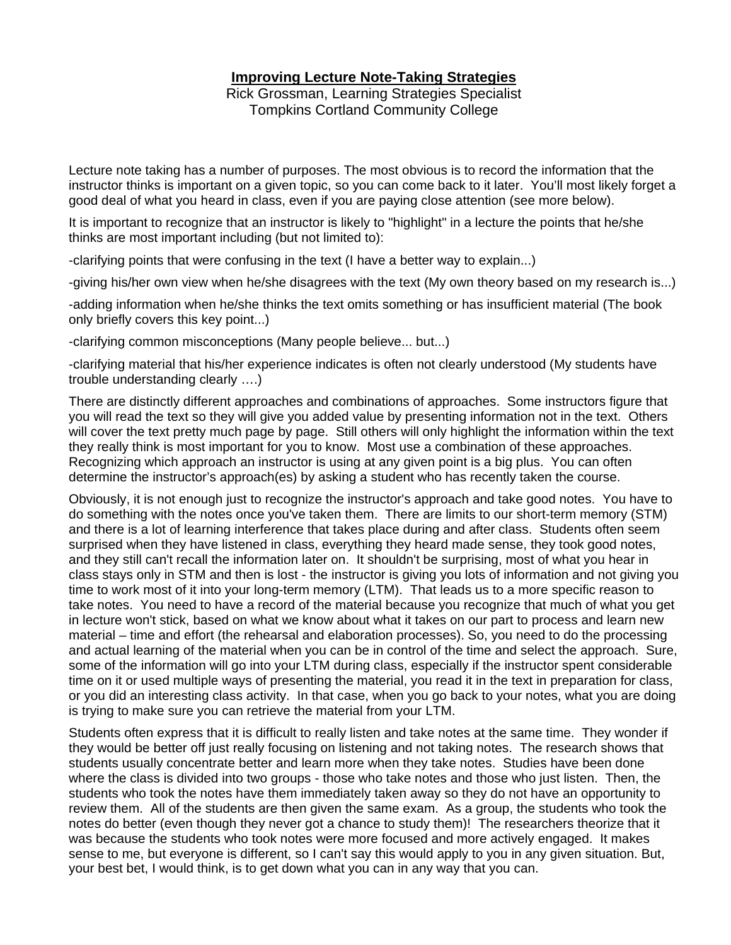# **Improving Lecture Note-Taking Strategies**

Rick Grossman, Learning Strategies Specialist Tompkins Cortland Community College

Lecture note taking has a number of purposes. The most obvious is to record the information that the instructor thinks is important on a given topic, so you can come back to it later. You'll most likely forget a good deal of what you heard in class, even if you are paying close attention (see more below).

It is important to recognize that an instructor is likely to "highlight" in a lecture the points that he/she thinks are most important including (but not limited to):

-clarifying points that were confusing in the text (I have a better way to explain...)

-giving his/her own view when he/she disagrees with the text (My own theory based on my research is...)

-adding information when he/she thinks the text omits something or has insufficient material (The book only briefly covers this key point...)

-clarifying common misconceptions (Many people believe... but...)

-clarifying material that his/her experience indicates is often not clearly understood (My students have trouble understanding clearly ….)

There are distinctly different approaches and combinations of approaches. Some instructors figure that you will read the text so they will give you added value by presenting information not in the text. Others will cover the text pretty much page by page. Still others will only highlight the information within the text they really think is most important for you to know. Most use a combination of these approaches. Recognizing which approach an instructor is using at any given point is a big plus. You can often determine the instructor's approach(es) by asking a student who has recently taken the course.

Obviously, it is not enough just to recognize the instructor's approach and take good notes. You have to do something with the notes once you've taken them. There are limits to our short-term memory (STM) and there is a lot of learning interference that takes place during and after class. Students often seem surprised when they have listened in class, everything they heard made sense, they took good notes, and they still can't recall the information later on. It shouldn't be surprising, most of what you hear in class stays only in STM and then is lost - the instructor is giving you lots of information and not giving you time to work most of it into your long-term memory (LTM). That leads us to a more specific reason to take notes. You need to have a record of the material because you recognize that much of what you get in lecture won't stick, based on what we know about what it takes on our part to process and learn new material – time and effort (the rehearsal and elaboration processes). So, you need to do the processing and actual learning of the material when you can be in control of the time and select the approach. Sure, some of the information will go into your LTM during class, especially if the instructor spent considerable time on it or used multiple ways of presenting the material, you read it in the text in preparation for class, or you did an interesting class activity. In that case, when you go back to your notes, what you are doing is trying to make sure you can retrieve the material from your LTM.

Students often express that it is difficult to really listen and take notes at the same time. They wonder if they would be better off just really focusing on listening and not taking notes. The research shows that students usually concentrate better and learn more when they take notes. Studies have been done where the class is divided into two groups - those who take notes and those who just listen. Then, the students who took the notes have them immediately taken away so they do not have an opportunity to review them. All of the students are then given the same exam. As a group, the students who took the notes do better (even though they never got a chance to study them)! The researchers theorize that it was because the students who took notes were more focused and more actively engaged. It makes sense to me, but everyone is different, so I can't say this would apply to you in any given situation. But, your best bet, I would think, is to get down what you can in any way that you can.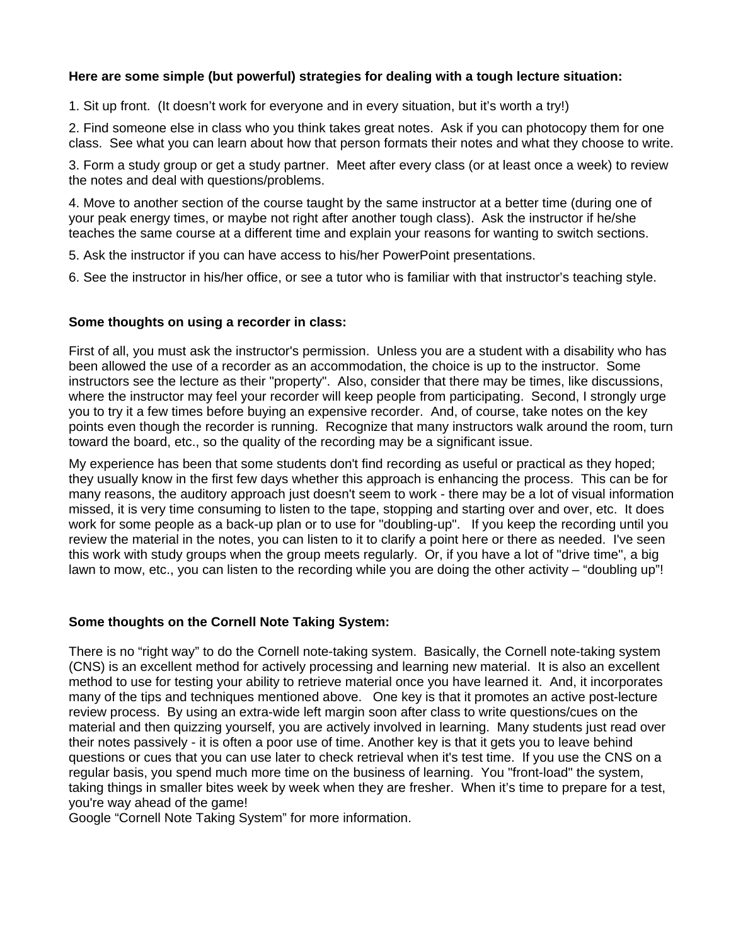# **Here are some simple (but powerful) strategies for dealing with a tough lecture situation:**

1. Sit up front. (It doesn't work for everyone and in every situation, but it's worth a try!)

2. Find someone else in class who you think takes great notes. Ask if you can photocopy them for one class. See what you can learn about how that person formats their notes and what they choose to write.

3. Form a study group or get a study partner. Meet after every class (or at least once a week) to review the notes and deal with questions/problems.

4. Move to another section of the course taught by the same instructor at a better time (during one of your peak energy times, or maybe not right after another tough class). Ask the instructor if he/she teaches the same course at a different time and explain your reasons for wanting to switch sections.

5. Ask the instructor if you can have access to his/her PowerPoint presentations.

6. See the instructor in his/her office, or see a tutor who is familiar with that instructor's teaching style.

# **Some thoughts on using a recorder in class:**

First of all, you must ask the instructor's permission. Unless you are a student with a disability who has been allowed the use of a recorder as an accommodation, the choice is up to the instructor. Some instructors see the lecture as their "property". Also, consider that there may be times, like discussions, where the instructor may feel your recorder will keep people from participating. Second, I strongly urge you to try it a few times before buying an expensive recorder. And, of course, take notes on the key points even though the recorder is running. Recognize that many instructors walk around the room, turn toward the board, etc., so the quality of the recording may be a significant issue.

My experience has been that some students don't find recording as useful or practical as they hoped; they usually know in the first few days whether this approach is enhancing the process. This can be for many reasons, the auditory approach just doesn't seem to work - there may be a lot of visual information missed, it is very time consuming to listen to the tape, stopping and starting over and over, etc. It does work for some people as a back-up plan or to use for "doubling-up". If you keep the recording until you review the material in the notes, you can listen to it to clarify a point here or there as needed. I've seen this work with study groups when the group meets regularly. Or, if you have a lot of "drive time", a big lawn to mow, etc., you can listen to the recording while you are doing the other activity – "doubling up"!

#### **Some thoughts on the Cornell Note Taking System:**

There is no "right way" to do the Cornell note-taking system. Basically, the Cornell note-taking system (CNS) is an excellent method for actively processing and learning new material. It is also an excellent method to use for testing your ability to retrieve material once you have learned it. And, it incorporates many of the tips and techniques mentioned above. One key is that it promotes an active post-lecture review process. By using an extra-wide left margin soon after class to write questions/cues on the material and then quizzing yourself, you are actively involved in learning. Many students just read over their notes passively - it is often a poor use of time. Another key is that it gets you to leave behind questions or cues that you can use later to check retrieval when it's test time. If you use the CNS on a regular basis, you spend much more time on the business of learning. You "front-load" the system, taking things in smaller bites week by week when they are fresher. When it's time to prepare for a test, you're way ahead of the game!

Google "Cornell Note Taking System" for more information.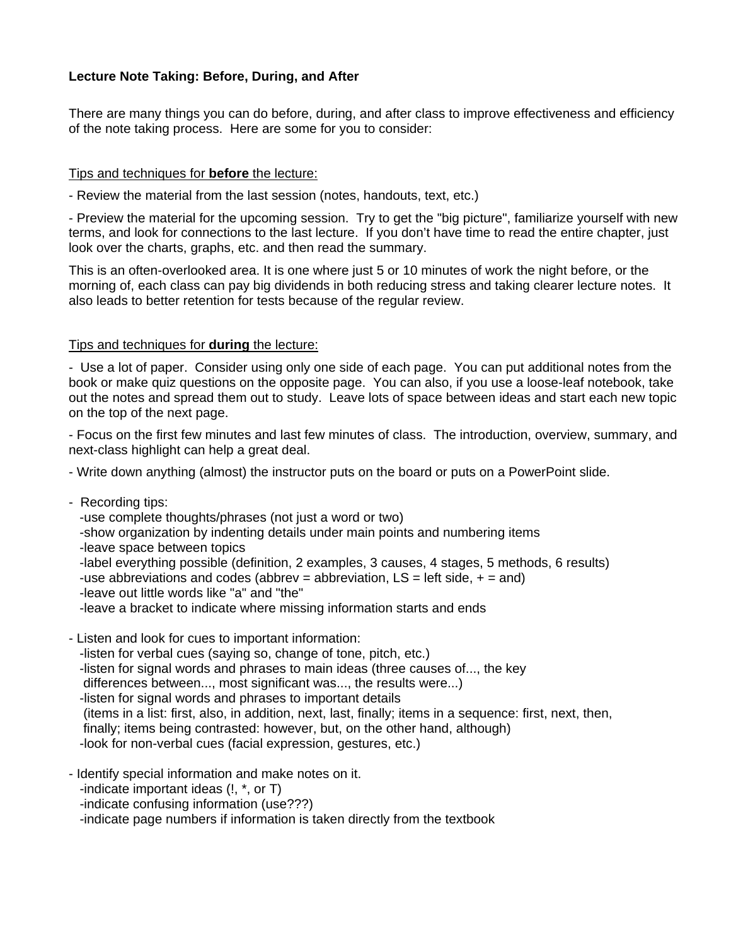# **Lecture Note Taking: Before, During, and After**

There are many things you can do before, during, and after class to improve effectiveness and efficiency of the note taking process. Here are some for you to consider:

# Tips and techniques for **before** the lecture:

- Review the material from the last session (notes, handouts, text, etc.)

- Preview the material for the upcoming session. Try to get the "big picture", familiarize yourself with new terms, and look for connections to the last lecture. If you don't have time to read the entire chapter, just look over the charts, graphs, etc. and then read the summary.

This is an often-overlooked area. It is one where just 5 or 10 minutes of work the night before, or the morning of, each class can pay big dividends in both reducing stress and taking clearer lecture notes. It also leads to better retention for tests because of the regular review.

# Tips and techniques for **during** the lecture:

- Use a lot of paper. Consider using only one side of each page. You can put additional notes from the book or make quiz questions on the opposite page. You can also, if you use a loose-leaf notebook, take out the notes and spread them out to study. Leave lots of space between ideas and start each new topic on the top of the next page.

- Focus on the first few minutes and last few minutes of class. The introduction, overview, summary, and next-class highlight can help a great deal.

- Write down anything (almost) the instructor puts on the board or puts on a PowerPoint slide.

- Recording tips:

-use complete thoughts/phrases (not just a word or two)

-show organization by indenting details under main points and numbering items

-leave space between topics

-label everything possible (definition, 2 examples, 3 causes, 4 stages, 5 methods, 6 results)

-use abbreviations and codes (abbrev = abbreviation,  $LS = left side, + = and$ )

-leave out little words like "a" and "the"

-leave a bracket to indicate where missing information starts and ends

- Listen and look for cues to important information: -listen for verbal cues (saying so, change of tone, pitch, etc.) -listen for signal words and phrases to main ideas (three causes of..., the key differences between..., most significant was..., the results were...) -listen for signal words and phrases to important details (items in a list: first, also, in addition, next, last, finally; items in a sequence: first, next, then, finally; items being contrasted: however, but, on the other hand, although) -look for non-verbal cues (facial expression, gestures, etc.)

- Identify special information and make notes on it.

-indicate important ideas (!, \*, or T)

-indicate confusing information (use???)

-indicate page numbers if information is taken directly from the textbook